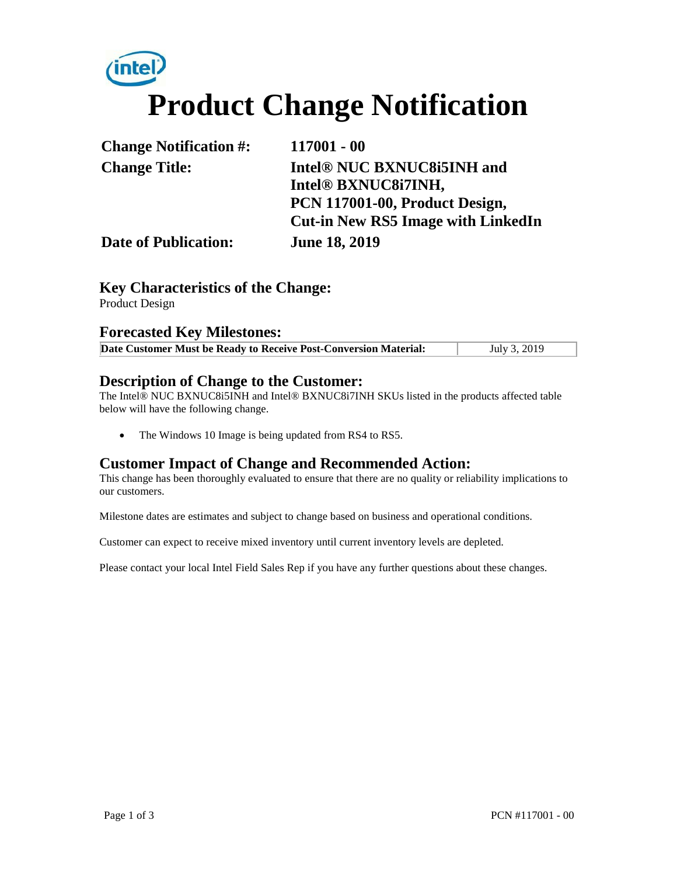# **Product Change Notification**

| <b>Change Notification #:</b> | 117001 - 00                               |
|-------------------------------|-------------------------------------------|
| <b>Change Title:</b>          | Intel® NUC BXNUC8i5INH and                |
|                               | Intel® BXNUC8i7INH,                       |
|                               | PCN 117001-00, Product Design,            |
|                               | <b>Cut-in New RS5 Image with LinkedIn</b> |
| <b>Date of Publication:</b>   | <b>June 18, 2019</b>                      |

### **Key Characteristics of the Change:**

Product Design

#### **Forecasted Key Milestones:**

| Date Customer Must be Ready to Receive Post-Conversion Material: | July 3, 2019 |
|------------------------------------------------------------------|--------------|

#### **Description of Change to the Customer:**

The Intel® NUC BXNUC8i5INH and Intel® BXNUC8i7INH SKUs listed in the products affected table below will have the following change.

• The Windows 10 Image is being updated from RS4 to RS5.

#### **Customer Impact of Change and Recommended Action:**

This change has been thoroughly evaluated to ensure that there are no quality or reliability implications to our customers.

Milestone dates are estimates and subject to change based on business and operational conditions.

Customer can expect to receive mixed inventory until current inventory levels are depleted.

Please contact your local Intel Field Sales Rep if you have any further questions about these changes.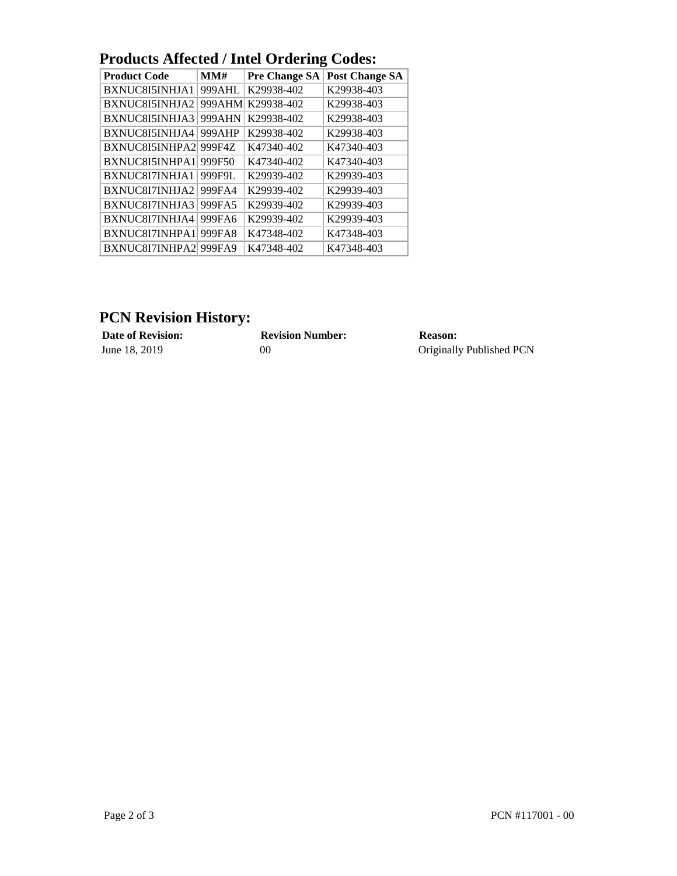|  | <b>Products Affected / Intel Ordering Codes:</b> |  |
|--|--------------------------------------------------|--|
|  |                                                  |  |

| <b>Product Code</b> | MMH    | ິ<br><b>Pre Change SA</b> | <b>Post Change SA</b> |
|---------------------|--------|---------------------------|-----------------------|
| BXNUC8I5INHJA1      | 999AHL | K29938-402                | K29938-403            |
| BXNUC8I5INHJA2      | 999AHM | K29938-402                | K29938-403            |
| BXNUC8I5INHJA3      | 999AHN | K29938-402                | K29938-403            |
| BXNUC8I5INHJA4      | 999AHP | K29938-402                | K29938-403            |
| BXNUC8I5INHPA2      | 999F4Z | K47340-402                | K47340-403            |
| BXNUC8I5INHPA1      | 999F50 | K47340-402                | K47340-403            |
| BXNUC8I7INHJA1      | 999F9L | K29939-402                | K29939-403            |
| BXNUC8I7INHJA2      | 999FA4 | K29939-402                | K29939-403            |
| BXNUC8I7INHJA3      | 999FA5 | K29939-402                | K29939-403            |
| BXNUC8I7INHJA4      | 999FA6 | K29939-402                | K29939-403            |
| BXNUC8I7INHPA1      | 999FA8 | K47348-402                | K47348-403            |
| BXNUC8I7INHPA2      | 999FA9 | K47348-402                | K47348-403            |

## **PCN Revision History:**<br>Date of Revision:

| <b>Date of Revision:</b> | <b>Revision Number:</b> | Reason:                  |
|--------------------------|-------------------------|--------------------------|
| June 18, 2019            | OC                      | Originally Published PCN |